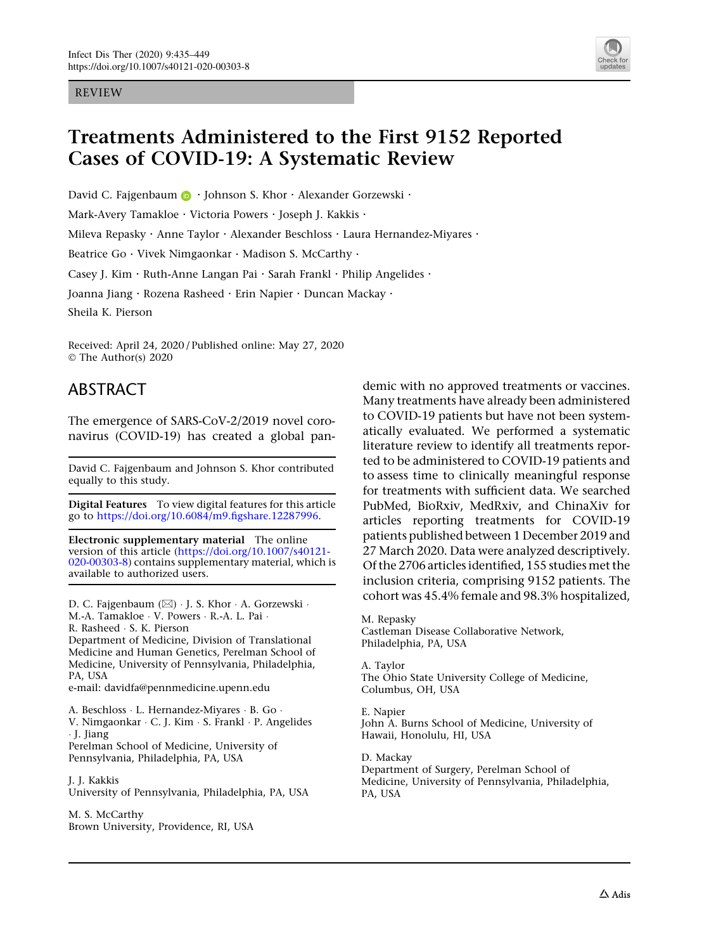#### REVIEW



# Treatments Administered to the First 9152 Reported Cases of COVID-19: A Systematic Review

David C. Fajgenbaum  $\bigcirc$   $\cdot$  Johnson S. Khor  $\cdot$  Alexander Gorzewski  $\cdot$ 

Mark-Avery Tamakloe · Victoria Powers · Joseph J. Kakkis ·

Mileva Repasky · Anne Taylor · Alexander Beschloss · Laura Hernandez-Miyares ·

Beatrice Go · Vivek Nimgaonkar · Madison S. McCarthy ·

Casey J. Kim · Ruth-Anne Langan Pai · Sarah Frankl · Philip Angelides ·

Joanna Jiang . Rozena Rasheed . Erin Napier . Duncan Mackay .

Sheila K. Pierson

Received: April 24, 2020 / Published online: May 27, 2020 © The Author(s) 2020

### ABSTRACT

The emergence of SARS-CoV-2/2019 novel coronavirus (COVID-19) has created a global pan-

David C. Fajgenbaum and Johnson S. Khor contributed equally to this study.

Digital Features To view digital features for this article go to [https://doi.org/10.6084/m9.figshare.12287996.](https://doi.org/10.6084/m9.figshare.12287996)

Electronic supplementary material The online version of this article ([https://doi.org/10.1007/s40121-](https://doi.org/10.1007/s40121-020-00303-8) [020-00303-8\)](https://doi.org/10.1007/s40121-020-00303-8) contains supplementary material, which is available to authorized users.

D. C. Fajgenbaum (⊠) ⋅ J. S. Khor ⋅ A. Gorzewski ⋅ M.-A. Tamakloe - V. Powers - R.-A. L. Pai - R. Rasheed - S. K. Pierson Department of Medicine, Division of Translational Medicine and Human Genetics, Perelman School of Medicine, University of Pennsylvania, Philadelphia,

PA, USA e-mail: davidfa@pennmedicine.upenn.edu

A. Beschloss - L. Hernandez-Miyares - B. Go - V. Nimgaonkar - C. J. Kim - S. Frankl - P. Angelides - J. Jiang

Perelman School of Medicine, University of Pennsylvania, Philadelphia, PA, USA

J. J. Kakkis University of Pennsylvania, Philadelphia, PA, USA

M. S. McCarthy Brown University, Providence, RI, USA demic with no approved treatments or vaccines. Many treatments have already been administered to COVID-19 patients but have not been systematically evaluated. We performed a systematic literature review to identify all treatments reported to be administered to COVID-19 patients and to assess time to clinically meaningful response for treatments with sufficient data. We searched PubMed, BioRxiv, MedRxiv, and ChinaXiv for articles reporting treatments for COVID-19 patients published between 1 December 2019 and 27 March 2020. Data were analyzed descriptively. Of the 2706 articles identified, 155 studiesmet the inclusion criteria, comprising 9152 patients. The cohort was 45.4% female and 98.3% hospitalized,

M. Repasky Castleman Disease Collaborative Network, Philadelphia, PA, USA

A. Taylor The Ohio State University College of Medicine, Columbus, OH, USA

E. Napier John A. Burns School of Medicine, University of Hawaii, Honolulu, HI, USA

D. Mackay Department of Surgery, Perelman School of Medicine, University of Pennsylvania, Philadelphia, PA, USA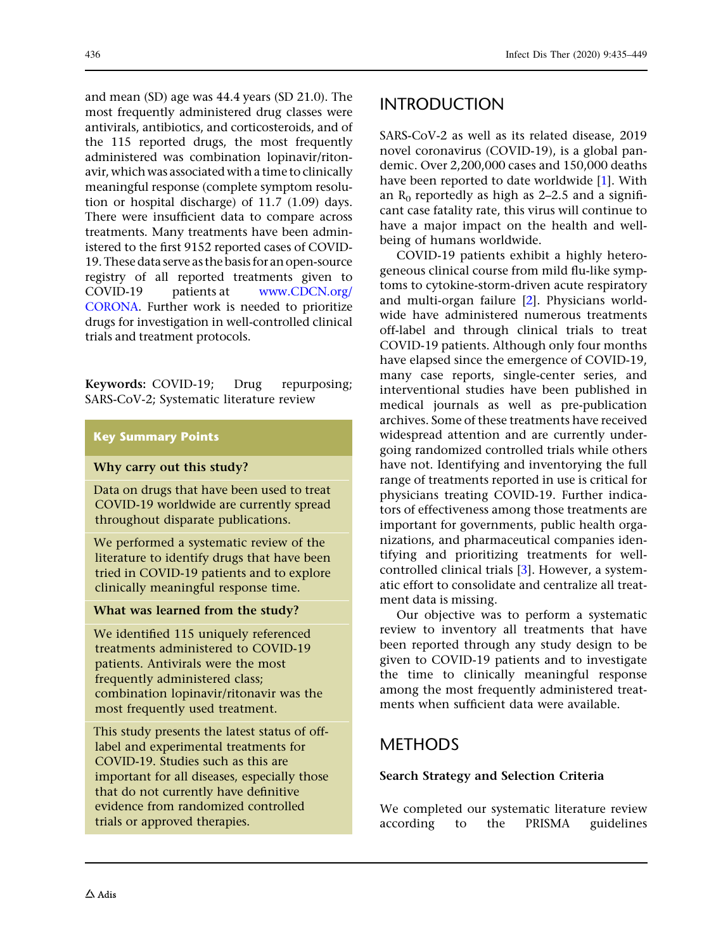and mean (SD) age was 44.4 years (SD 21.0). The most frequently administered drug classes were antivirals, antibiotics, and corticosteroids, and of the 115 reported drugs, the most frequently administered was combination lopinavir/ritonavir, which was associated with a time to clinically meaningful response (complete symptom resolution or hospital discharge) of 11.7 (1.09) days. There were insufficient data to compare across treatments. Many treatments have been administered to the first 9152 reported cases of COVID-19. These data serve as the basis for an open-source registry of all reported treatments given to COVID-19 patients at [www.CDCN.org/](https://www.CDCN.org/CORONA) [CORONA.](https://www.CDCN.org/CORONA) Further work is needed to prioritize drugs for investigation in well-controlled clinical trials and treatment protocols.

Keywords: COVID-19; Drug repurposing; SARS-CoV-2; Systematic literature review

#### Key Summary Points

#### Why carry out this study?

Data on drugs that have been used to treat COVID-19 worldwide are currently spread throughout disparate publications.

We performed a systematic review of the literature to identify drugs that have been tried in COVID-19 patients and to explore clinically meaningful response time.

#### What was learned from the study?

We identified 115 uniquely referenced treatments administered to COVID-19 patients. Antivirals were the most frequently administered class; combination lopinavir/ritonavir was the most frequently used treatment.

This study presents the latest status of offlabel and experimental treatments for COVID-19. Studies such as this are important for all diseases, especially those that do not currently have definitive evidence from randomized controlled trials or approved therapies.

### INTRODUCTION

SARS-CoV-2 as well as its related disease, 2019 novel coronavirus (COVID-19), is a global pandemic. Over 2,200,000 cases and 150,000 deaths have been reported to date worldwide [[1](#page-12-0)]. With an  $R_0$  reportedly as high as 2–2.5 and a significant case fatality rate, this virus will continue to have a major impact on the health and wellbeing of humans worldwide.

COVID-19 patients exhibit a highly heterogeneous clinical course from mild flu-like symptoms to cytokine-storm-driven acute respiratory and multi-organ failure [[2](#page-12-0)]. Physicians worldwide have administered numerous treatments off-label and through clinical trials to treat COVID-19 patients. Although only four months have elapsed since the emergence of COVID-19, many case reports, single-center series, and interventional studies have been published in medical journals as well as pre-publication archives. Some of these treatments have received widespread attention and are currently undergoing randomized controlled trials while others have not. Identifying and inventorying the full range of treatments reported in use is critical for physicians treating COVID-19. Further indicators of effectiveness among those treatments are important for governments, public health organizations, and pharmaceutical companies identifying and prioritizing treatments for wellcontrolled clinical trials [\[3](#page-12-0)]. However, a systematic effort to consolidate and centralize all treatment data is missing.

Our objective was to perform a systematic review to inventory all treatments that have been reported through any study design to be given to COVID-19 patients and to investigate the time to clinically meaningful response among the most frequently administered treatments when sufficient data were available.

### **METHODS**

#### Search Strategy and Selection Criteria

We completed our systematic literature review according to the PRISMA guidelines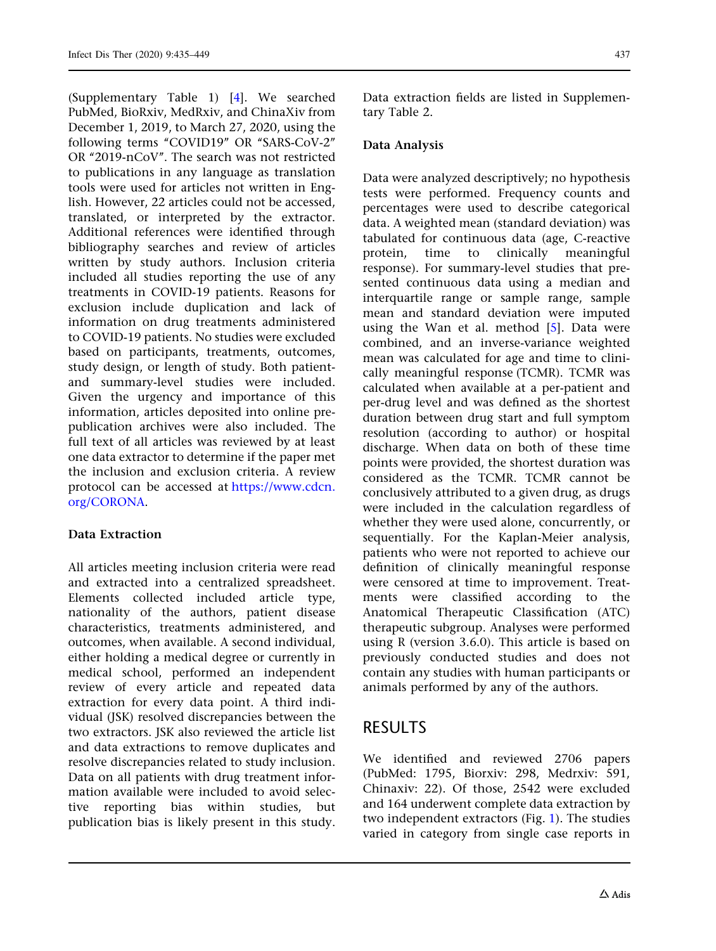(Supplementary Table 1) [\[4\]](#page-12-0). We searched PubMed, BioRxiv, MedRxiv, and ChinaXiv from December 1, 2019, to March 27, 2020, using the following terms ''COVID19'' OR ''SARS-CoV-2'' OR "2019-nCoV". The search was not restricted to publications in any language as translation tools were used for articles not written in English. However, 22 articles could not be accessed, translated, or interpreted by the extractor. Additional references were identified through bibliography searches and review of articles written by study authors. Inclusion criteria included all studies reporting the use of any treatments in COVID-19 patients. Reasons for exclusion include duplication and lack of information on drug treatments administered to COVID-19 patients. No studies were excluded based on participants, treatments, outcomes, study design, or length of study. Both patientand summary-level studies were included. Given the urgency and importance of this information, articles deposited into online prepublication archives were also included. The full text of all articles was reviewed by at least one data extractor to determine if the paper met the inclusion and exclusion criteria. A review protocol can be accessed at [https://www.cdcn.](https://www.cdcn.org/CORONA) [org/CORONA](https://www.cdcn.org/CORONA).

#### Data Extraction

All articles meeting inclusion criteria were read and extracted into a centralized spreadsheet. Elements collected included article type, nationality of the authors, patient disease characteristics, treatments administered, and outcomes, when available. A second individual, either holding a medical degree or currently in medical school, performed an independent review of every article and repeated data extraction for every data point. A third individual (JSK) resolved discrepancies between the two extractors. JSK also reviewed the article list and data extractions to remove duplicates and resolve discrepancies related to study inclusion. Data on all patients with drug treatment information available were included to avoid selective reporting bias within studies, but publication bias is likely present in this study.

Data extraction fields are listed in Supplementary Table 2.

#### Data Analysis

Data were analyzed descriptively; no hypothesis tests were performed. Frequency counts and percentages were used to describe categorical data. A weighted mean (standard deviation) was tabulated for continuous data (age, C-reactive protein, time to clinically meaningful response). For summary-level studies that presented continuous data using a median and interquartile range or sample range, sample mean and standard deviation were imputed using the Wan et al. method  $[5]$  $[5]$ . Data were combined, and an inverse-variance weighted mean was calculated for age and time to clinically meaningful response (TCMR). TCMR was calculated when available at a per-patient and per-drug level and was defined as the shortest duration between drug start and full symptom resolution (according to author) or hospital discharge. When data on both of these time points were provided, the shortest duration was considered as the TCMR. TCMR cannot be conclusively attributed to a given drug, as drugs were included in the calculation regardless of whether they were used alone, concurrently, or sequentially. For the Kaplan-Meier analysis, patients who were not reported to achieve our definition of clinically meaningful response were censored at time to improvement. Treatments were classified according to the Anatomical Therapeutic Classification (ATC) therapeutic subgroup. Analyses were performed using R (version 3.6.0). This article is based on previously conducted studies and does not contain any studies with human participants or animals performed by any of the authors.

## RESULTS

We identified and reviewed 2706 papers (PubMed: 1795, Biorxiv: 298, Medrxiv: 591, Chinaxiv: 22). Of those, 2542 were excluded and 164 underwent complete data extraction by two independent extractors (Fig. [1](#page-3-0)). The studies varied in category from single case reports in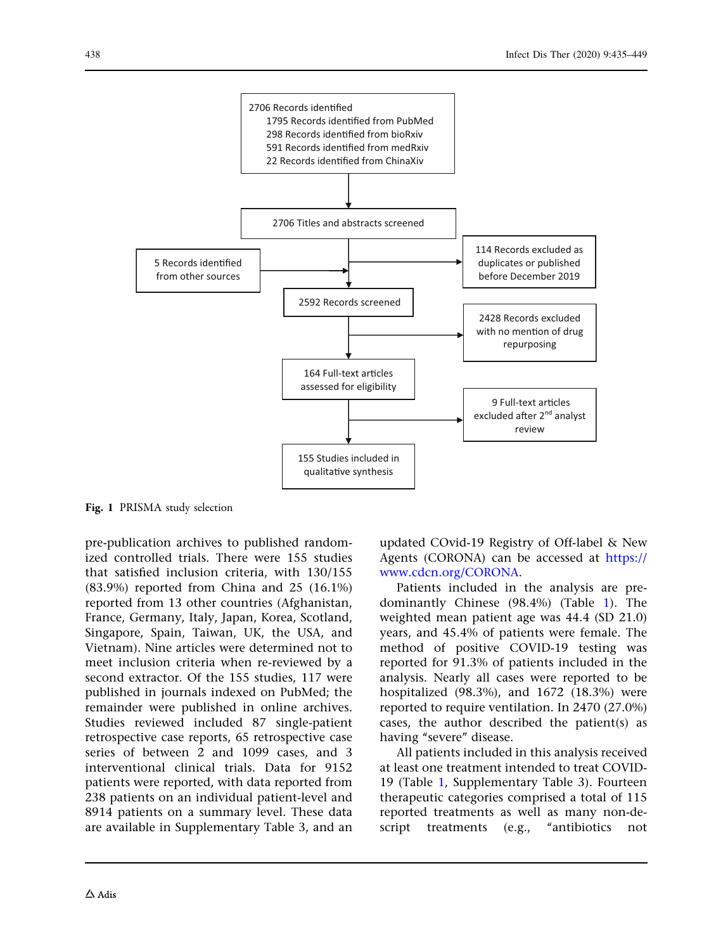<span id="page-3-0"></span>

Fig. 1 PRISMA study selection

pre-publication archives to published randomized controlled trials. There were 155 studies that satisfied inclusion criteria, with 130/155 (83.9%) reported from China and 25 (16.1%) reported from 13 other countries (Afghanistan, France, Germany, Italy, Japan, Korea, Scotland, Singapore, Spain, Taiwan, UK, the USA, and Vietnam). Nine articles were determined not to meet inclusion criteria when re-reviewed by a second extractor. Of the 155 studies, 117 were published in journals indexed on PubMed; the remainder were published in online archives. Studies reviewed included 87 single-patient retrospective case reports, 65 retrospective case series of between 2 and 1099 cases, and 3 interventional clinical trials. Data for 9152 patients were reported, with data reported from 238 patients on an individual patient-level and 8914 patients on a summary level. These data are available in Supplementary Table 3, and an

updated COvid-19 Registry of Off-label & New Agents (CORONA) can be accessed at [https://](https://www.cdcn.org/CORONA) [www.cdcn.org/CORONA.](https://www.cdcn.org/CORONA)

Patients included in the analysis are predominantly Chinese (98.4%) (Table [1](#page-4-0)). The weighted mean patient age was 44.4 (SD 21.0) years, and 45.4% of patients were female. The method of positive COVID-19 testing was reported for 91.3% of patients included in the analysis. Nearly all cases were reported to be hospitalized (98.3%), and 1672 (18.3%) were reported to require ventilation. In 2470 (27.0%) cases, the author described the patient(s) as having "severe" disease.

All patients included in this analysis received at least one treatment intended to treat COVID-19 (Table [1](#page-4-0), Supplementary Table 3). Fourteen therapeutic categories comprised a total of 115 reported treatments as well as many non-descript treatments (e.g., "antibiotics not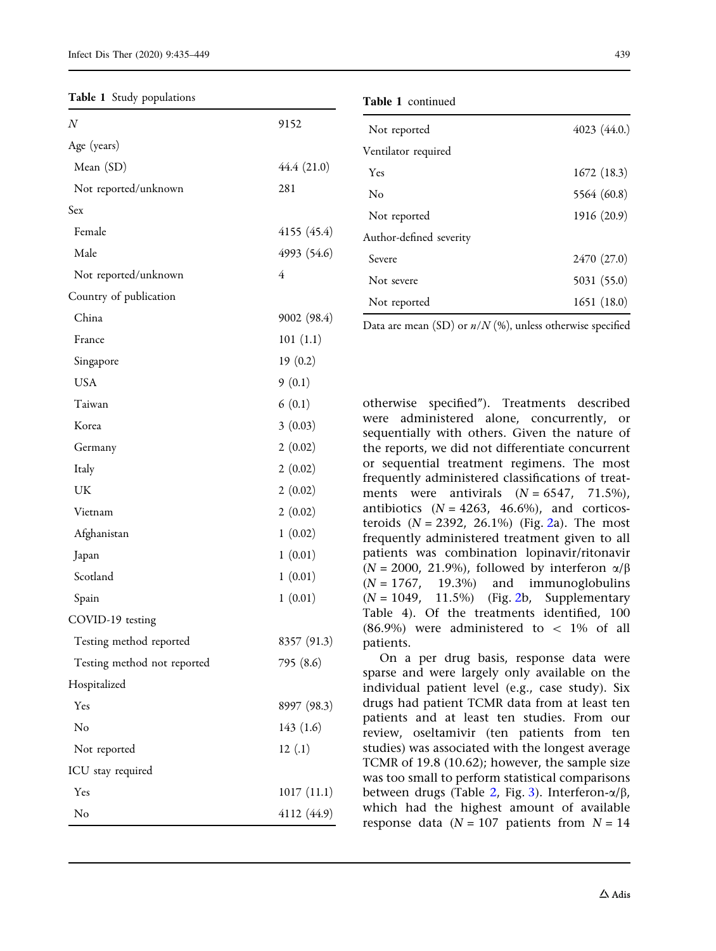| <b>Table 1</b> Study populations |             |
|----------------------------------|-------------|
| $\cal N$                         | 9152        |
| Age (years)                      |             |
| Mean (SD)                        | 44.4 (21.0) |
| Not reported/unknown             | 281         |
| Sex                              |             |
| Female                           | 4155 (45.4) |
| Male                             | 4993 (54.6) |
| Not reported/unknown             | 4           |
| Country of publication           |             |
| China                            | 9002 (98.4) |
| France                           | 101(1.1)    |
| Singapore                        | 19(0.2)     |
| <b>USA</b>                       | 9(0.1)      |
| Taiwan                           | 6(0.1)      |
| Korea                            | 3(0.03)     |
| Germany                          | 2(0.02)     |
| Italy                            | 2(0.02)     |
| UK                               | 2(0.02)     |
| Vietnam                          | 2(0.02)     |
| Afghanistan                      | 1(0.02)     |
| Japan                            | 1(0.01)     |
| Scotland                         | 1(0.01)     |
| Spain                            | 1(0.01)     |
| COVID-19 testing                 |             |
| Testing method reported          | 8357 (91.3) |
| Testing method not reported      | 795 (8.6)   |
| Hospitalized                     |             |
| Yes                              | 8997 (98.3) |
| No                               | 143 (1.6)   |
| Not reported                     | 12(.1)      |
| ICU stay required                |             |
| Yes                              | 1017(11.1)  |
| No                               | 4112 (44.9) |

<span id="page-4-0"></span>Table 1 Study populations

Table 1 continued

| Not reported            | 4023(44.0)  |
|-------------------------|-------------|
| Ventilator required     |             |
| Yes                     | 1672(18.3)  |
| $\rm No$                | 5564 (60.8) |
| Not reported            | 1916 (20.9) |
| Author-defined severity |             |
| Severe                  | 2470 (27.0) |
| Not severe              | 5031 (55.0) |
| Not reported            | 1651(18.0)  |

Data are mean (SD) or  $n/N$  (%), unless otherwise specified

otherwise specified''). Treatments described were administered alone, concurrently, or sequentially with others. Given the nature of the reports, we did not differentiate concurrent or sequential treatment regimens. The most frequently administered classifications of treatments were antivirals  $(N = 6547, 71.5\%),$ antibiotics  $(N = 4263, 46.6\%)$ , and corticosteroids  $(N = 2392, 26.1\%)$  (Fig. [2a](#page-5-0)). The most frequently administered treatment given to all patients was combination lopinavir/ritonavir ( $N = 2000$ , 21.9%), followed by interferon  $\alpha/\beta$  $(N = 1767, 19.3\%)$  and immunoglobulins  $(N = 1049, 11.5\%)$  (Fig. [2](#page-5-0)b, Supplementary Table 4). Of the treatments identified, 100 (86.9%) were administered to  $\langle 1\% \rangle$  of all patients.

On a per drug basis, response data were sparse and were largely only available on the individual patient level (e.g., case study). Six drugs had patient TCMR data from at least ten patients and at least ten studies. From our review, oseltamivir (ten patients from ten studies) was associated with the longest average TCMR of 19.8 (10.62); however, the sample size was too small to perform statistical comparisons between drugs (Table [2](#page-6-0), Fig. [3](#page-7-0)). Interferon- $\alpha/\beta$ , which had the highest amount of available response data ( $N = 107$  patients from  $N = 14$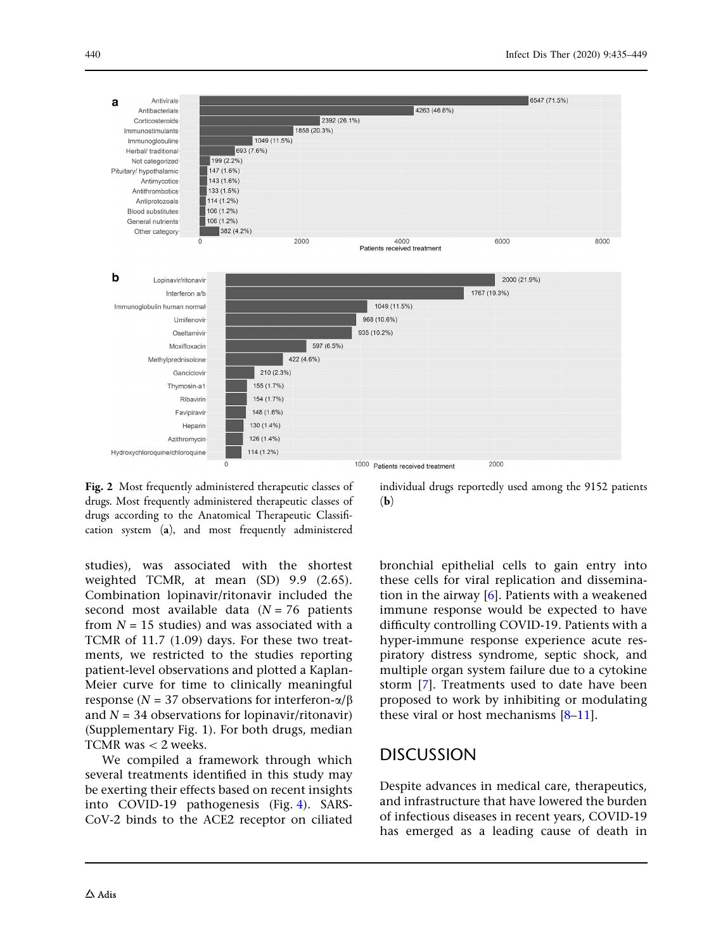<span id="page-5-0"></span>

Fig. 2 Most frequently administered therapeutic classes of drugs. Most frequently administered therapeutic classes of drugs according to the Anatomical Therapeutic Classification system (a), and most frequently administered

studies), was associated with the shortest weighted TCMR, at mean (SD) 9.9 (2.65). Combination lopinavir/ritonavir included the second most available data  $(N = 76$  patients from  $N = 15$  studies) and was associated with a TCMR of 11.7 (1.09) days. For these two treatments, we restricted to the studies reporting patient-level observations and plotted a Kaplan-Meier curve for time to clinically meaningful response ( $N = 37$  observations for interferon- $\alpha/\beta$ and  $N = 34$  observations for lopinavir/ritonavir) (Supplementary Fig. 1). For both drugs, median TCMR was  $<$  2 weeks.

We compiled a framework through which several treatments identified in this study may be exerting their effects based on recent insights into COVID-19 pathogenesis (Fig. [4](#page-8-0)). SARS-CoV-2 binds to the ACE2 receptor on ciliated

individual drugs reportedly used among the 9152 patients  $(b)$ 

bronchial epithelial cells to gain entry into these cells for viral replication and dissemination in the airway [[6](#page-12-0)]. Patients with a weakened immune response would be expected to have difficulty controlling COVID-19. Patients with a hyper-immune response experience acute respiratory distress syndrome, septic shock, and multiple organ system failure due to a cytokine storm [\[7\]](#page-12-0). Treatments used to date have been proposed to work by inhibiting or modulating these viral or host mechanisms  $[8-11]$ .

### **DISCUSSION**

Despite advances in medical care, therapeutics, and infrastructure that have lowered the burden of infectious diseases in recent years, COVID-19 has emerged as a leading cause of death in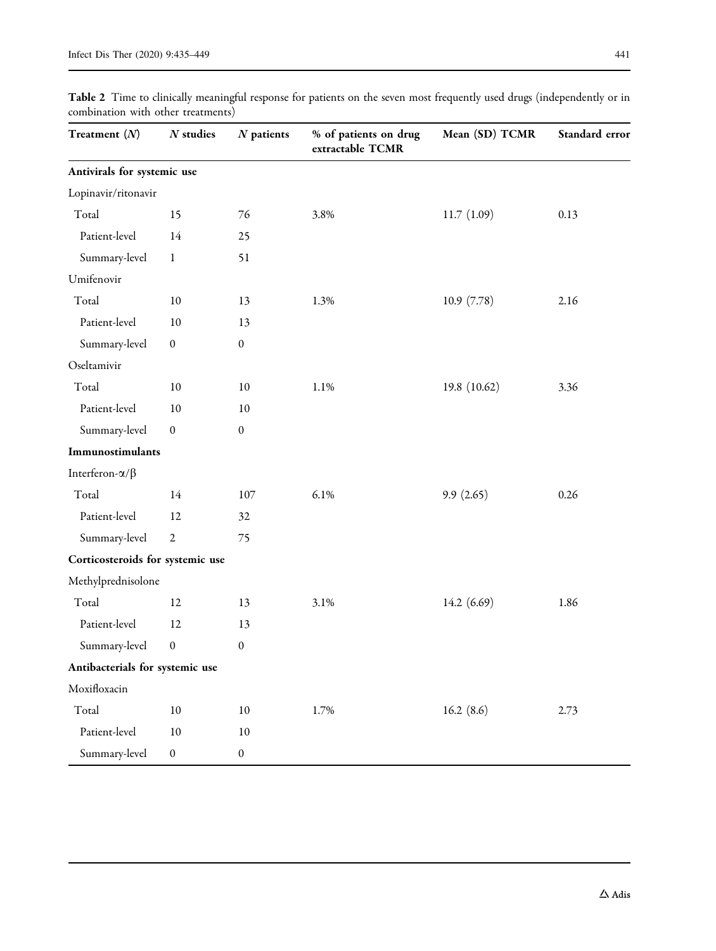| Treatment $(N)$                  | $\boldsymbol{N}$ studies | $N$ patients     | % of patients on drug<br>extractable TCMR | Mean (SD) TCMR | Standard error |
|----------------------------------|--------------------------|------------------|-------------------------------------------|----------------|----------------|
| Antivirals for systemic use      |                          |                  |                                           |                |                |
| Lopinavir/ritonavir              |                          |                  |                                           |                |                |
| Total                            | 15                       | 76               | 3.8%                                      | 11.7(1.09)     | 0.13           |
| Patient-level                    | 14                       | 25               |                                           |                |                |
| Summary-level                    | $\mathbf{1}$             | 51               |                                           |                |                |
| Umifenovir                       |                          |                  |                                           |                |                |
| Total                            | 10                       | 13               | 1.3%                                      | 10.9(7.78)     | 2.16           |
| Patient-level                    | 10                       | 13               |                                           |                |                |
| Summary-level                    | $\boldsymbol{0}$         | $\boldsymbol{0}$ |                                           |                |                |
| Oseltamivir                      |                          |                  |                                           |                |                |
| Total                            | 10                       | 10               | 1.1%                                      | 19.8 (10.62)   | 3.36           |
| Patient-level                    | 10                       | 10               |                                           |                |                |
| Summary-level                    | $\boldsymbol{0}$         | $\boldsymbol{0}$ |                                           |                |                |
| Immunostimulants                 |                          |                  |                                           |                |                |
| Interferon- $\alpha/\beta$       |                          |                  |                                           |                |                |
| Total                            | 14                       | 107              | 6.1%                                      | 9.9(2.65)      | 0.26           |
| Patient-level                    | 12                       | 32               |                                           |                |                |
| Summary-level                    | $\sqrt{2}$               | 75               |                                           |                |                |
| Corticosteroids for systemic use |                          |                  |                                           |                |                |
| Methylprednisolone               |                          |                  |                                           |                |                |
| Total                            | 12                       | 13               | 3.1%                                      | 14.2 (6.69)    | 1.86           |
| Patient-level                    | 12                       | 13               |                                           |                |                |
| Summary-level                    | $\boldsymbol{0}$         | $\boldsymbol{0}$ |                                           |                |                |
| Antibacterials for systemic use  |                          |                  |                                           |                |                |
| Moxifloxacin                     |                          |                  |                                           |                |                |
| Total                            | $10\,$                   | $10\,$           | $1.7\%$                                   | 16.2(8.6)      | 2.73           |
| Patient-level                    | $10\,$                   | 10               |                                           |                |                |
| Summary-level                    | $\boldsymbol{0}$         | $\boldsymbol{0}$ |                                           |                |                |

<span id="page-6-0"></span>Table 2 Time to clinically meaningful response for patients on the seven most frequently used drugs (independently or in combination with other treatments)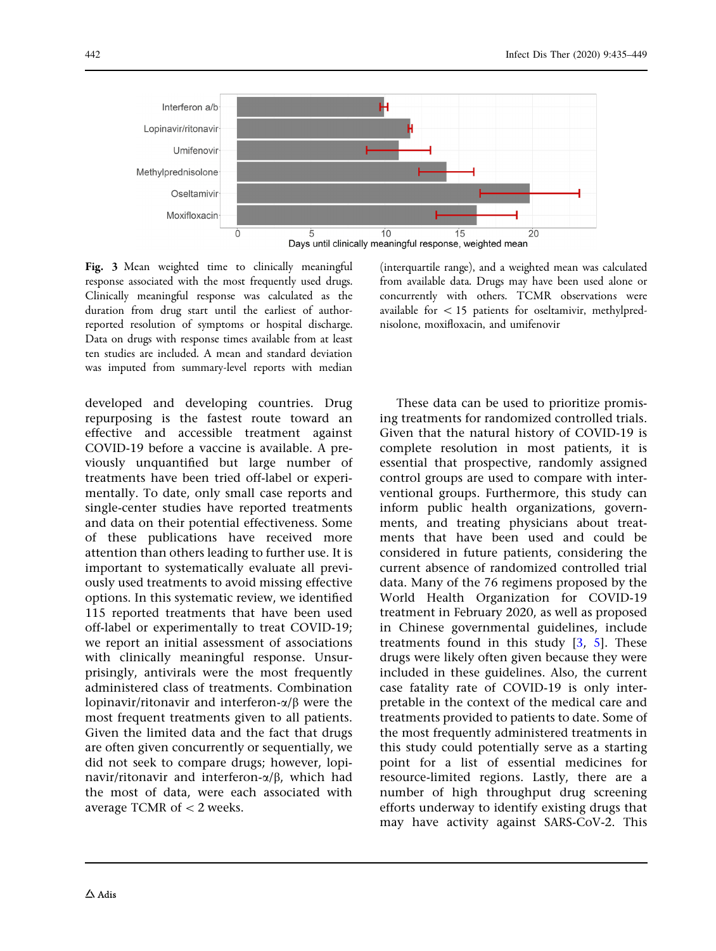<span id="page-7-0"></span>

Fig. 3 Mean weighted time to clinically meaningful response associated with the most frequently used drugs. Clinically meaningful response was calculated as the duration from drug start until the earliest of authorreported resolution of symptoms or hospital discharge. Data on drugs with response times available from at least ten studies are included. A mean and standard deviation was imputed from summary-level reports with median

developed and developing countries. Drug repurposing is the fastest route toward an effective and accessible treatment against COVID-19 before a vaccine is available. A previously unquantified but large number of treatments have been tried off-label or experimentally. To date, only small case reports and single-center studies have reported treatments and data on their potential effectiveness. Some of these publications have received more attention than others leading to further use. It is important to systematically evaluate all previously used treatments to avoid missing effective options. In this systematic review, we identified 115 reported treatments that have been used off-label or experimentally to treat COVID-19; we report an initial assessment of associations with clinically meaningful response. Unsurprisingly, antivirals were the most frequently administered class of treatments. Combination lopinavir/ritonavir and interferon- $\alpha/\beta$  were the most frequent treatments given to all patients. Given the limited data and the fact that drugs are often given concurrently or sequentially, we did not seek to compare drugs; however, lopinavir/ritonavir and interferon- $\alpha/\beta$ , which had the most of data, were each associated with average TCMR of  $\lt$  2 weeks.

(interquartile range), and a weighted mean was calculated from available data. Drugs may have been used alone or concurrently with others. TCMR observations were available for  $\lt 15$  patients for oseltamivir, methylprednisolone, moxifloxacin, and umifenovir

These data can be used to prioritize promising treatments for randomized controlled trials. Given that the natural history of COVID-19 is complete resolution in most patients, it is essential that prospective, randomly assigned control groups are used to compare with interventional groups. Furthermore, this study can inform public health organizations, governments, and treating physicians about treatments that have been used and could be considered in future patients, considering the current absence of randomized controlled trial data. Many of the 76 regimens proposed by the World Health Organization for COVID-19 treatment in February 2020, as well as proposed in Chinese governmental guidelines, include treatments found in this study [[3](#page-12-0), [5\]](#page-12-0). These drugs were likely often given because they were included in these guidelines. Also, the current case fatality rate of COVID-19 is only interpretable in the context of the medical care and treatments provided to patients to date. Some of the most frequently administered treatments in this study could potentially serve as a starting point for a list of essential medicines for resource-limited regions. Lastly, there are a number of high throughput drug screening efforts underway to identify existing drugs that may have activity against SARS-CoV-2. This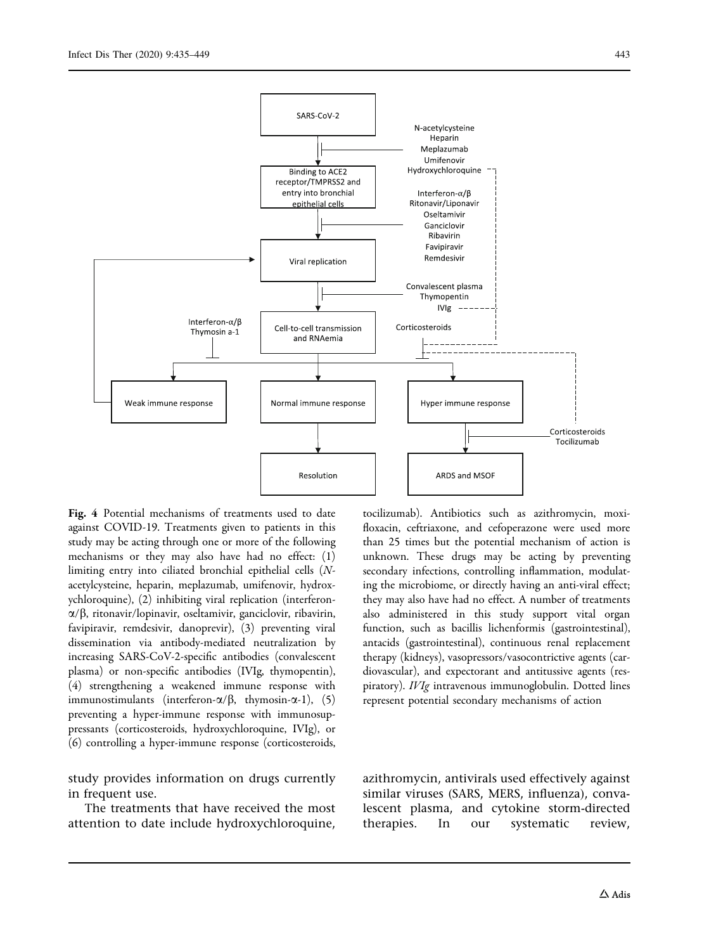

<span id="page-8-0"></span>

Fig. 4 Potential mechanisms of treatments used to date against COVID-19. Treatments given to patients in this study may be acting through one or more of the following mechanisms or they may also have had no effect: (1) limiting entry into ciliated bronchial epithelial cells (Nacetylcysteine, heparin, meplazumab, umifenovir, hydroxychloroquine), (2) inhibiting viral replication (interferon- $\alpha/\beta$ , ritonavir/lopinavir, oseltamivir, ganciclovir, ribavirin, favipiravir, remdesivir, danoprevir), (3) preventing viral dissemination via antibody-mediated neutralization by increasing SARS-CoV-2-specific antibodies (convalescent plasma) or non-specific antibodies (IVIg, thymopentin), (4) strengthening a weakened immune response with immunostimulants (interferon- $\alpha/\beta$ , thymosin- $\alpha$ -1), (5) preventing a hyper-immune response with immunosuppressants (corticosteroids, hydroxychloroquine, IVIg), or (6) controlling a hyper-immune response (corticosteroids,

study provides information on drugs currently in frequent use.

The treatments that have received the most attention to date include hydroxychloroquine, tocilizumab). Antibiotics such as azithromycin, moxifloxacin, ceftriaxone, and cefoperazone were used more than 25 times but the potential mechanism of action is unknown. These drugs may be acting by preventing secondary infections, controlling inflammation, modulating the microbiome, or directly having an anti-viral effect; they may also have had no effect. A number of treatments also administered in this study support vital organ function, such as bacillis lichenformis (gastrointestinal), antacids (gastrointestinal), continuous renal replacement therapy (kidneys), vasopressors/vasocontrictive agents (cardiovascular), and expectorant and antitussive agents (respiratory). IVIg intravenous immunoglobulin. Dotted lines represent potential secondary mechanisms of action

azithromycin, antivirals used effectively against similar viruses (SARS, MERS, influenza), convalescent plasma, and cytokine storm-directed therapies. In our systematic review,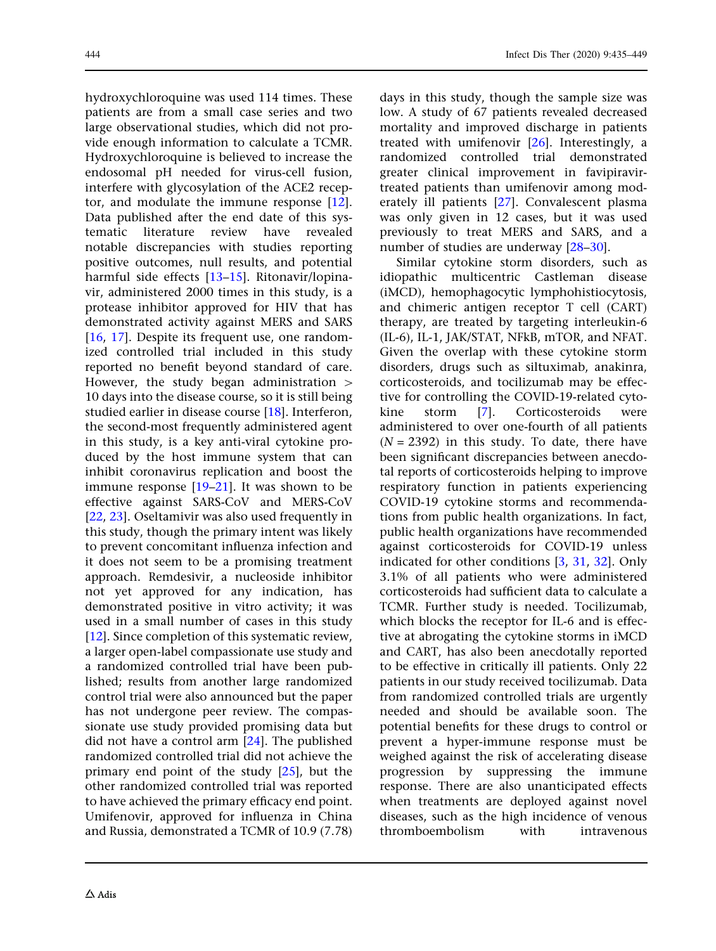hydroxychloroquine was used 114 times. These patients are from a small case series and two large observational studies, which did not provide enough information to calculate a TCMR. Hydroxychloroquine is believed to increase the endosomal pH needed for virus-cell fusion, interfere with glycosylation of the ACE2 receptor, and modulate the immune response [[12](#page-12-0)]. Data published after the end date of this systematic literature review have revealed notable discrepancies with studies reporting positive outcomes, null results, and potential harmful side effects [\[13–15\]](#page-12-0). Ritonavir/lopinavir, administered 2000 times in this study, is a protease inhibitor approved for HIV that has demonstrated activity against MERS and SARS [\[16,](#page-13-0) [17\]](#page-13-0). Despite its frequent use, one randomized controlled trial included in this study reported no benefit beyond standard of care. However, the study began administration  $>$ 10 days into the disease course, so it is still being studied earlier in disease course [[18](#page-13-0)]. Interferon, the second-most frequently administered agent in this study, is a key anti-viral cytokine produced by the host immune system that can inhibit coronavirus replication and boost the immune response [[19–21\]](#page-13-0). It was shown to be effective against SARS-CoV and MERS-CoV [\[22,](#page-13-0) [23\]](#page-13-0). Oseltamivir was also used frequently in this study, though the primary intent was likely to prevent concomitant influenza infection and it does not seem to be a promising treatment approach. Remdesivir, a nucleoside inhibitor not yet approved for any indication, has demonstrated positive in vitro activity; it was used in a small number of cases in this study [\[12\]](#page-12-0). Since completion of this systematic review, a larger open-label compassionate use study and a randomized controlled trial have been published; results from another large randomized control trial were also announced but the paper has not undergone peer review. The compassionate use study provided promising data but did not have a control arm [\[24\]](#page-13-0). The published randomized controlled trial did not achieve the primary end point of the study [[25](#page-13-0)], but the other randomized controlled trial was reported to have achieved the primary efficacy end point. Umifenovir, approved for influenza in China and Russia, demonstrated a TCMR of 10.9 (7.78) days in this study, though the sample size was low. A study of 67 patients revealed decreased mortality and improved discharge in patients treated with umifenovir [\[26\]](#page-13-0). Interestingly, a randomized controlled trial demonstrated greater clinical improvement in favipiravirtreated patients than umifenovir among moderately ill patients [\[27\]](#page-13-0). Convalescent plasma was only given in 12 cases, but it was used previously to treat MERS and SARS, and a number of studies are underway [\[28–30](#page-13-0)].

Similar cytokine storm disorders, such as idiopathic multicentric Castleman disease (iMCD), hemophagocytic lymphohistiocytosis, and chimeric antigen receptor T cell (CART) therapy, are treated by targeting interleukin-6 (IL-6), IL-1, JAK/STAT, NFkB, mTOR, and NFAT. Given the overlap with these cytokine storm disorders, drugs such as siltuximab, anakinra, corticosteroids, and tocilizumab may be effective for controlling the COVID-19-related cytokine storm [\[7](#page-12-0)]. Corticosteroids were administered to over one-fourth of all patients  $(N = 2392)$  in this study. To date, there have been significant discrepancies between anecdotal reports of corticosteroids helping to improve respiratory function in patients experiencing COVID-19 cytokine storms and recommendations from public health organizations. In fact, public health organizations have recommended against corticosteroids for COVID-19 unless indicated for other conditions [[3](#page-12-0), [31](#page-13-0), [32\]](#page-13-0). Only 3.1% of all patients who were administered corticosteroids had sufficient data to calculate a TCMR. Further study is needed. Tocilizumab, which blocks the receptor for IL-6 and is effective at abrogating the cytokine storms in iMCD and CART, has also been anecdotally reported to be effective in critically ill patients. Only 22 patients in our study received tocilizumab. Data from randomized controlled trials are urgently needed and should be available soon. The potential benefits for these drugs to control or prevent a hyper-immune response must be weighed against the risk of accelerating disease progression by suppressing the immune response. There are also unanticipated effects when treatments are deployed against novel diseases, such as the high incidence of venous thromboembolism with intravenous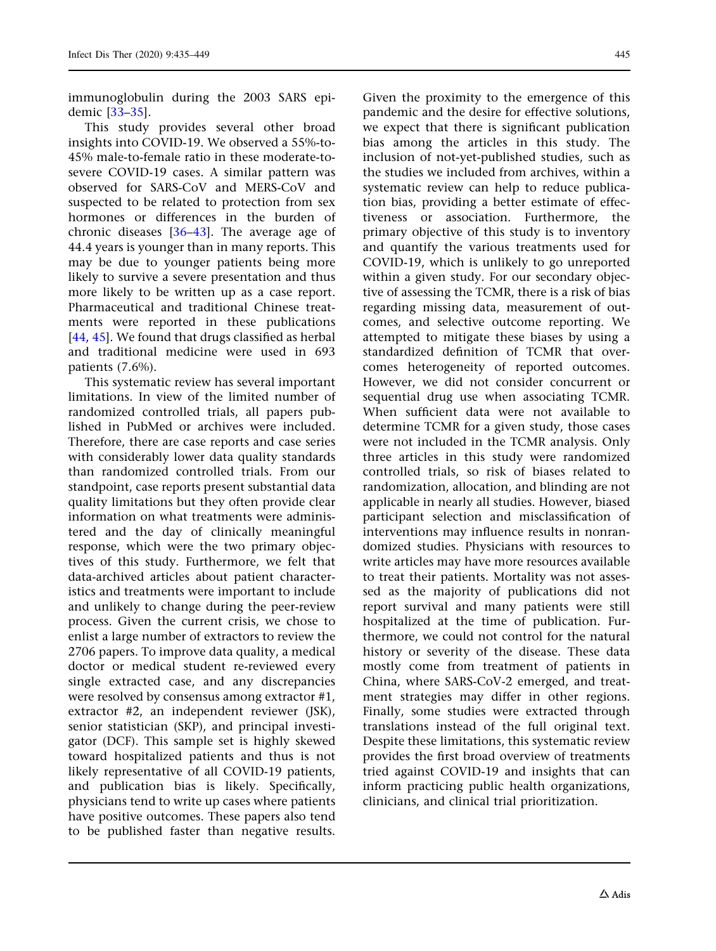immunoglobulin during the 2003 SARS epidemic [[33–35\]](#page-14-0).

This study provides several other broad insights into COVID-19. We observed a 55%-to-45% male-to-female ratio in these moderate-tosevere COVID-19 cases. A similar pattern was observed for SARS-CoV and MERS-CoV and suspected to be related to protection from sex hormones or differences in the burden of chronic diseases  $[36-43]$ . The average age of 44.4 years is younger than in many reports. This may be due to younger patients being more likely to survive a severe presentation and thus more likely to be written up as a case report. Pharmaceutical and traditional Chinese treatments were reported in these publications [\[44](#page-14-0), [45](#page-14-0)]. We found that drugs classified as herbal and traditional medicine were used in 693 patients (7.6%).

This systematic review has several important limitations. In view of the limited number of randomized controlled trials, all papers published in PubMed or archives were included. Therefore, there are case reports and case series with considerably lower data quality standards than randomized controlled trials. From our standpoint, case reports present substantial data quality limitations but they often provide clear information on what treatments were administered and the day of clinically meaningful response, which were the two primary objectives of this study. Furthermore, we felt that data-archived articles about patient characteristics and treatments were important to include and unlikely to change during the peer-review process. Given the current crisis, we chose to enlist a large number of extractors to review the 2706 papers. To improve data quality, a medical doctor or medical student re-reviewed every single extracted case, and any discrepancies were resolved by consensus among extractor #1, extractor #2, an independent reviewer (JSK), senior statistician (SKP), and principal investigator (DCF). This sample set is highly skewed toward hospitalized patients and thus is not likely representative of all COVID-19 patients, and publication bias is likely. Specifically, physicians tend to write up cases where patients have positive outcomes. These papers also tend to be published faster than negative results.

Given the proximity to the emergence of this pandemic and the desire for effective solutions, we expect that there is significant publication bias among the articles in this study. The inclusion of not-yet-published studies, such as the studies we included from archives, within a systematic review can help to reduce publication bias, providing a better estimate of effectiveness or association. Furthermore, the primary objective of this study is to inventory and quantify the various treatments used for COVID-19, which is unlikely to go unreported within a given study. For our secondary objective of assessing the TCMR, there is a risk of bias regarding missing data, measurement of outcomes, and selective outcome reporting. We attempted to mitigate these biases by using a standardized definition of TCMR that overcomes heterogeneity of reported outcomes. However, we did not consider concurrent or sequential drug use when associating TCMR. When sufficient data were not available to determine TCMR for a given study, those cases were not included in the TCMR analysis. Only three articles in this study were randomized controlled trials, so risk of biases related to randomization, allocation, and blinding are not applicable in nearly all studies. However, biased participant selection and misclassification of interventions may influence results in nonrandomized studies. Physicians with resources to write articles may have more resources available to treat their patients. Mortality was not assessed as the majority of publications did not report survival and many patients were still hospitalized at the time of publication. Furthermore, we could not control for the natural history or severity of the disease. These data mostly come from treatment of patients in China, where SARS-CoV-2 emerged, and treatment strategies may differ in other regions. Finally, some studies were extracted through translations instead of the full original text. Despite these limitations, this systematic review provides the first broad overview of treatments tried against COVID-19 and insights that can inform practicing public health organizations, clinicians, and clinical trial prioritization.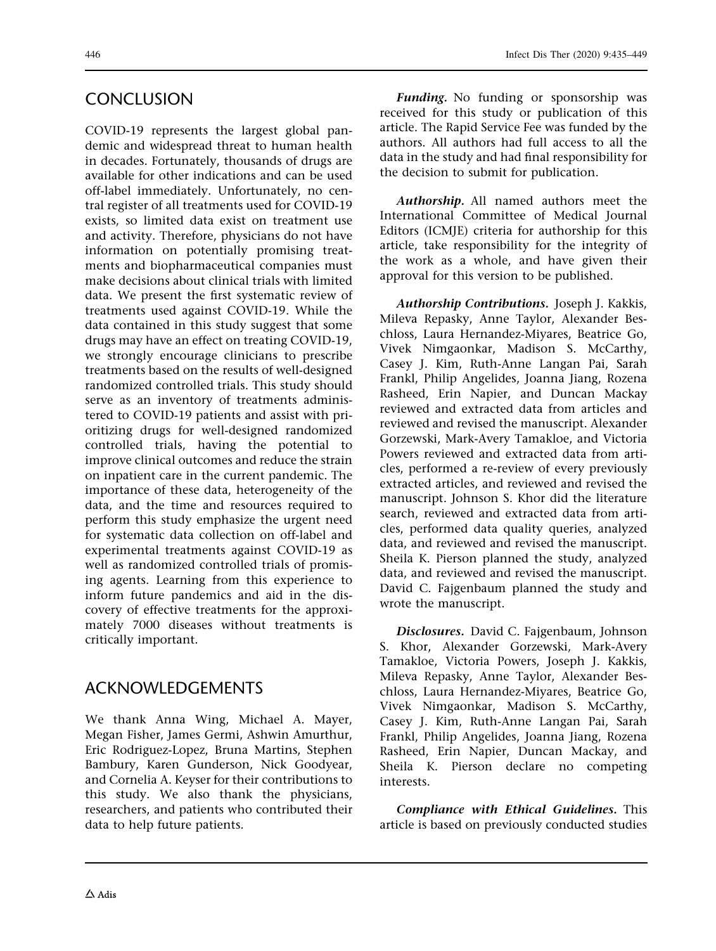### **CONCLUSION**

COVID-19 represents the largest global pandemic and widespread threat to human health in decades. Fortunately, thousands of drugs are available for other indications and can be used off-label immediately. Unfortunately, no central register of all treatments used for COVID-19 exists, so limited data exist on treatment use and activity. Therefore, physicians do not have information on potentially promising treatments and biopharmaceutical companies must make decisions about clinical trials with limited data. We present the first systematic review of treatments used against COVID-19. While the data contained in this study suggest that some drugs may have an effect on treating COVID-19, we strongly encourage clinicians to prescribe treatments based on the results of well-designed randomized controlled trials. This study should serve as an inventory of treatments administered to COVID-19 patients and assist with prioritizing drugs for well-designed randomized controlled trials, having the potential to improve clinical outcomes and reduce the strain on inpatient care in the current pandemic. The importance of these data, heterogeneity of the data, and the time and resources required to perform this study emphasize the urgent need for systematic data collection on off-label and experimental treatments against COVID-19 as well as randomized controlled trials of promising agents. Learning from this experience to inform future pandemics and aid in the discovery of effective treatments for the approximately 7000 diseases without treatments is critically important.

## ACKNOWLEDGEMENTS

We thank Anna Wing, Michael A. Mayer, Megan Fisher, James Germi, Ashwin Amurthur, Eric Rodriguez-Lopez, Bruna Martins, Stephen Bambury, Karen Gunderson, Nick Goodyear, and Cornelia A. Keyser for their contributions to this study. We also thank the physicians, researchers, and patients who contributed their data to help future patients.

Funding. No funding or sponsorship was received for this study or publication of this article. The Rapid Service Fee was funded by the authors. All authors had full access to all the data in the study and had final responsibility for the decision to submit for publication.

Authorship. All named authors meet the International Committee of Medical Journal Editors (ICMJE) criteria for authorship for this article, take responsibility for the integrity of the work as a whole, and have given their approval for this version to be published.

Authorship Contributions. Joseph J. Kakkis, Mileva Repasky, Anne Taylor, Alexander Beschloss, Laura Hernandez-Miyares, Beatrice Go, Vivek Nimgaonkar, Madison S. McCarthy, Casey J. Kim, Ruth-Anne Langan Pai, Sarah Frankl, Philip Angelides, Joanna Jiang, Rozena Rasheed, Erin Napier, and Duncan Mackay reviewed and extracted data from articles and reviewed and revised the manuscript. Alexander Gorzewski, Mark-Avery Tamakloe, and Victoria Powers reviewed and extracted data from articles, performed a re-review of every previously extracted articles, and reviewed and revised the manuscript. Johnson S. Khor did the literature search, reviewed and extracted data from articles, performed data quality queries, analyzed data, and reviewed and revised the manuscript. Sheila K. Pierson planned the study, analyzed data, and reviewed and revised the manuscript. David C. Fajgenbaum planned the study and wrote the manuscript.

Disclosures. David C. Fajgenbaum, Johnson S. Khor, Alexander Gorzewski, Mark-Avery Tamakloe, Victoria Powers, Joseph J. Kakkis, Mileva Repasky, Anne Taylor, Alexander Beschloss, Laura Hernandez-Miyares, Beatrice Go, Vivek Nimgaonkar, Madison S. McCarthy, Casey J. Kim, Ruth-Anne Langan Pai, Sarah Frankl, Philip Angelides, Joanna Jiang, Rozena Rasheed, Erin Napier, Duncan Mackay, and Sheila K. Pierson declare no competing interests.

Compliance with Ethical Guidelines. This article is based on previously conducted studies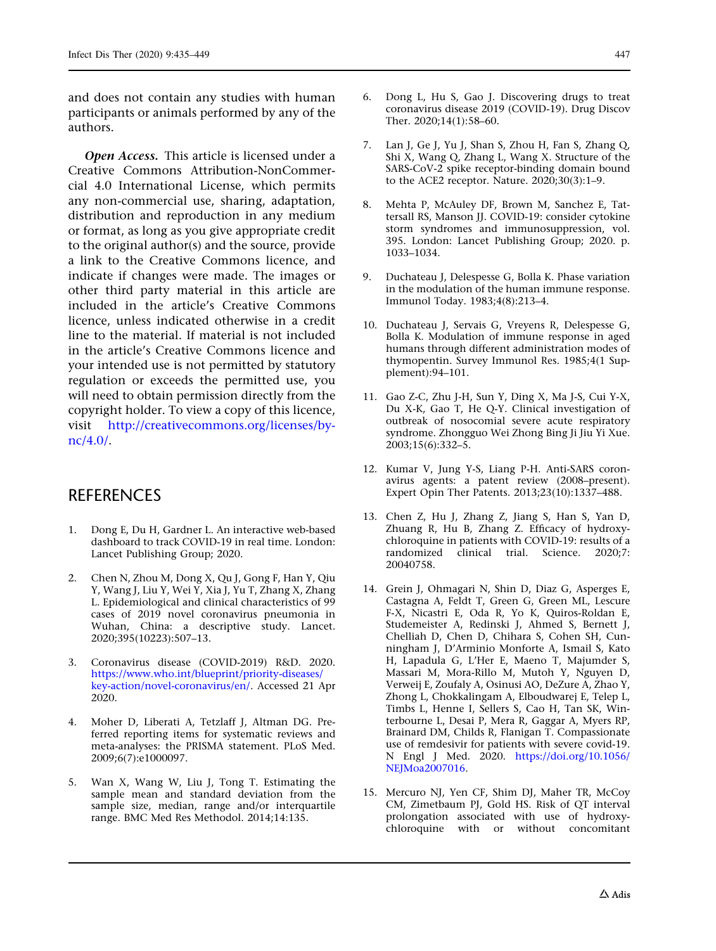<span id="page-12-0"></span>and does not contain any studies with human participants or animals performed by any of the authors.

Open Access. This article is licensed under a Creative Commons Attribution-NonCommercial 4.0 International License, which permits any non-commercial use, sharing, adaptation, distribution and reproduction in any medium or format, as long as you give appropriate credit to the original author(s) and the source, provide a link to the Creative Commons licence, and indicate if changes were made. The images or other third party material in this article are included in the article's Creative Commons licence, unless indicated otherwise in a credit line to the material. If material is not included in the article's Creative Commons licence and your intended use is not permitted by statutory regulation or exceeds the permitted use, you will need to obtain permission directly from the copyright holder. To view a copy of this licence, visit [http://creativecommons.org/licenses/by](http://creativecommons.org/licenses/by-nc/4.0/)[nc/4.0/](http://creativecommons.org/licenses/by-nc/4.0/).

## **REFERENCES**

- 1. Dong E, Du H, Gardner L. An interactive web-based dashboard to track COVID-19 in real time. London: Lancet Publishing Group; 2020.
- 2. Chen N, Zhou M, Dong X, Qu J, Gong F, Han Y, Qiu Y, Wang J, Liu Y, Wei Y, Xia J, Yu T, Zhang X, Zhang L. Epidemiological and clinical characteristics of 99 cases of 2019 novel coronavirus pneumonia in Wuhan, China: a descriptive study. Lancet. 2020;395(10223):507–13.
- 3. Coronavirus disease (COVID-2019) R&D. 2020. [https://www.who.int/blueprint/priority-diseases/](https://www.who.int/blueprint/priority-diseases/key-action/novel-coronavirus/en/) [key-action/novel-coronavirus/en/](https://www.who.int/blueprint/priority-diseases/key-action/novel-coronavirus/en/). Accessed 21 Apr 2020.
- 4. Moher D, Liberati A, Tetzlaff J, Altman DG. Preferred reporting items for systematic reviews and meta-analyses: the PRISMA statement. PLoS Med. 2009;6(7):e1000097.
- 5. Wan X, Wang W, Liu J, Tong T. Estimating the sample mean and standard deviation from the sample size, median, range and/or interquartile range. BMC Med Res Methodol. 2014;14:135.
- 6. Dong L, Hu S, Gao J. Discovering drugs to treat coronavirus disease 2019 (COVID-19). Drug Discov Ther. 2020;14(1):58–60.
- 7. Lan J, Ge J, Yu J, Shan S, Zhou H, Fan S, Zhang Q, Shi X, Wang Q, Zhang L, Wang X. Structure of the SARS-CoV-2 spike receptor-binding domain bound to the ACE2 receptor. Nature. 2020;30(3):1–9.
- 8. Mehta P, McAuley DF, Brown M, Sanchez E, Tattersall RS, Manson JJ. COVID-19: consider cytokine storm syndromes and immunosuppression, vol. 395. London: Lancet Publishing Group; 2020. p. 1033–1034.
- 9. Duchateau J, Delespesse G, Bolla K. Phase variation in the modulation of the human immune response. Immunol Today. 1983;4(8):213–4.
- 10. Duchateau J, Servais G, Vreyens R, Delespesse G, Bolla K. Modulation of immune response in aged humans through different administration modes of thymopentin. Survey Immunol Res. 1985;4(1 Supplement):94–101.
- 11. Gao Z-C, Zhu J-H, Sun Y, Ding X, Ma J-S, Cui Y-X, Du X-K, Gao T, He Q-Y. Clinical investigation of outbreak of nosocomial severe acute respiratory syndrome. Zhongguo Wei Zhong Bing Ji Jiu Yi Xue.  $2003;15(6):332-5.$
- 12. Kumar V, Jung Y-S, Liang P-H. Anti-SARS coronavirus agents: a patent review (2008–present). Expert Opin Ther Patents. 2013;23(10):1337–488.
- 13. Chen Z, Hu J, Zhang Z, Jiang S, Han S, Yan D, Zhuang R, Hu B, Zhang Z. Efficacy of hydroxychloroquine in patients with COVID-19: results of a randomized clinical trial. Science. 2020;7: 20040758.
- 14. Grein J, Ohmagari N, Shin D, Diaz G, Asperges E, Castagna A, Feldt T, Green G, Green ML, Lescure F-X, Nicastri E, Oda R, Yo K, Quiros-Roldan E, Studemeister A, Redinski J, Ahmed S, Bernett J, Chelliah D, Chen D, Chihara S, Cohen SH, Cunningham J, D'Arminio Monforte A, Ismail S, Kato H, Lapadula G, L'Her E, Maeno T, Majumder S, Massari M, Mora-Rillo M, Mutoh Y, Nguyen D, Verweij E, Zoufaly A, Osinusi AO, DeZure A, Zhao Y, Zhong L, Chokkalingam A, Elboudwarej E, Telep L, Timbs L, Henne I, Sellers S, Cao H, Tan SK, Winterbourne L, Desai P, Mera R, Gaggar A, Myers RP, Brainard DM, Childs R, Flanigan T. Compassionate use of remdesivir for patients with severe covid-19. N Engl J Med. 2020. [https://doi.org/10.1056/](https://doi.org/10.1056/NEJMoa2007016) [NEJMoa2007016](https://doi.org/10.1056/NEJMoa2007016).
- 15. Mercuro NJ, Yen CF, Shim DJ, Maher TR, McCoy CM, Zimetbaum PJ, Gold HS. Risk of QT interval prolongation associated with use of hydroxychloroquine with or without concomitant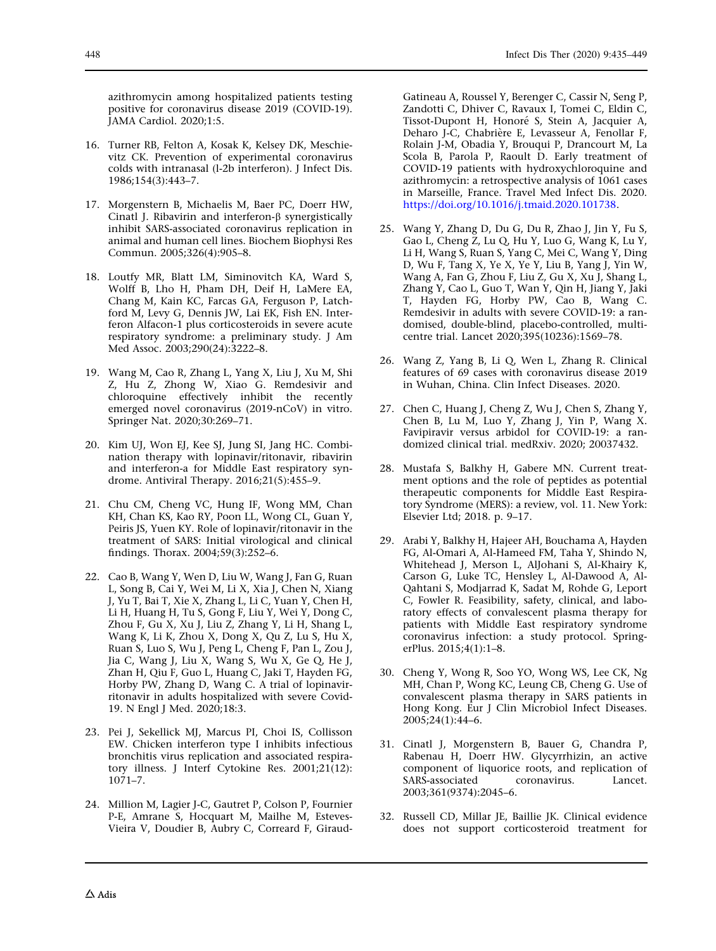<span id="page-13-0"></span>

azithromycin among hospitalized patients testing positive for coronavirus disease 2019 (COVID-19). JAMA Cardiol. 2020;1:5.

- 16. Turner RB, Felton A, Kosak K, Kelsey DK, Meschievitz CK. Prevention of experimental coronavirus colds with intranasal (l-2b interferon). J Infect Dis. 1986;154(3):443–7.
- 17. Morgenstern B, Michaelis M, Baer PC, Doerr HW, Cinatl J. Ribavirin and interferon- $\beta$  synergistically inhibit SARS-associated coronavirus replication in animal and human cell lines. Biochem Biophysi Res Commun. 2005;326(4):905–8.
- 18. Loutfy MR, Blatt LM, Siminovitch KA, Ward S, Wolff B, Lho H, Pham DH, Deif H, LaMere EA, Chang M, Kain KC, Farcas GA, Ferguson P, Latchford M, Levy G, Dennis JW, Lai EK, Fish EN. Interferon Alfacon-1 plus corticosteroids in severe acute respiratory syndrome: a preliminary study. J Am Med Assoc. 2003;290(24):3222–8.
- 19. Wang M, Cao R, Zhang L, Yang X, Liu J, Xu M, Shi Z, Hu Z, Zhong W, Xiao G. Remdesivir and chloroquine effectively inhibit the recently emerged novel coronavirus (2019-nCoV) in vitro. Springer Nat. 2020;30:269–71.
- 20. Kim UJ, Won EJ, Kee SJ, Jung SI, Jang HC. Combination therapy with lopinavir/ritonavir, ribavirin and interferon-a for Middle East respiratory syndrome. Antiviral Therapy. 2016;21(5):455–9.
- 21. Chu CM, Cheng VC, Hung IF, Wong MM, Chan KH, Chan KS, Kao RY, Poon LL, Wong CL, Guan Y, Peiris JS, Yuen KY. Role of lopinavir/ritonavir in the treatment of SARS: Initial virological and clinical findings. Thorax. 2004;59(3):252–6.
- 22. Cao B, Wang Y, Wen D, Liu W, Wang J, Fan G, Ruan L, Song B, Cai Y, Wei M, Li X, Xia J, Chen N, Xiang J, Yu T, Bai T, Xie X, Zhang L, Li C, Yuan Y, Chen H, Li H, Huang H, Tu S, Gong F, Liu Y, Wei Y, Dong C, Zhou F, Gu X, Xu J, Liu Z, Zhang Y, Li H, Shang L, Wang K, Li K, Zhou X, Dong X, Qu Z, Lu S, Hu X, Ruan S, Luo S, Wu J, Peng L, Cheng F, Pan L, Zou J, Jia C, Wang J, Liu X, Wang S, Wu X, Ge Q, He J, Zhan H, Qiu F, Guo L, Huang C, Jaki T, Hayden FG, Horby PW, Zhang D, Wang C. A trial of lopinavirritonavir in adults hospitalized with severe Covid-19. N Engl J Med. 2020;18:3.
- 23. Pei J, Sekellick MJ, Marcus PI, Choi IS, Collisson EW. Chicken interferon type I inhibits infectious bronchitis virus replication and associated respiratory illness. J Interf Cytokine Res. 2001;21(12): 1071–7.
- 24. Million M, Lagier J-C, Gautret P, Colson P, Fournier P-E, Amrane S, Hocquart M, Mailhe M, Esteves-Vieira V, Doudier B, Aubry C, Correard F, Giraud-

Gatineau A, Roussel Y, Berenger C, Cassir N, Seng P, Zandotti C, Dhiver C, Ravaux I, Tomei C, Eldin C, Tissot-Dupont H, Honoré S, Stein A, Jacquier A, Deharo J-C, Chabrière E, Levasseur A, Fenollar F, Rolain J-M, Obadia Y, Brouqui P, Drancourt M, La Scola B, Parola P, Raoult D. Early treatment of COVID-19 patients with hydroxychloroquine and azithromycin: a retrospective analysis of 1061 cases in Marseille, France. Travel Med Infect Dis. 2020. [https://doi.org/10.1016/j.tmaid.2020.101738.](https://doi.org/10.1016/j.tmaid.2020.101738)

- 25. Wang Y, Zhang D, Du G, Du R, Zhao J, Jin Y, Fu S, Gao L, Cheng Z, Lu Q, Hu Y, Luo G, Wang K, Lu Y, Li H, Wang S, Ruan S, Yang C, Mei C, Wang Y, Ding D, Wu F, Tang X, Ye X, Ye Y, Liu B, Yang J, Yin W, Wang A, Fan G, Zhou F, Liu Z, Gu X, Xu J, Shang L, Zhang Y, Cao L, Guo T, Wan Y, Qin H, Jiang Y, Jaki T, Hayden FG, Horby PW, Cao B, Wang C. Remdesivir in adults with severe COVID-19: a randomised, double-blind, placebo-controlled, multicentre trial. Lancet 2020;395(10236):1569–78.
- 26. Wang Z, Yang B, Li Q, Wen L, Zhang R. Clinical features of 69 cases with coronavirus disease 2019 in Wuhan, China. Clin Infect Diseases. 2020.
- 27. Chen C, Huang J, Cheng Z, Wu J, Chen S, Zhang Y, Chen B, Lu M, Luo Y, Zhang J, Yin P, Wang X. Favipiravir versus arbidol for COVID-19: a randomized clinical trial. medRxiv. 2020; 20037432.
- 28. Mustafa S, Balkhy H, Gabere MN. Current treatment options and the role of peptides as potential therapeutic components for Middle East Respiratory Syndrome (MERS): a review, vol. 11. New York: Elsevier Ltd; 2018. p. 9–17.
- 29. Arabi Y, Balkhy H, Hajeer AH, Bouchama A, Hayden FG, Al-Omari A, Al-Hameed FM, Taha Y, Shindo N, Whitehead J, Merson L, AlJohani S, Al-Khairy K, Carson G, Luke TC, Hensley L, Al-Dawood A, Al-Qahtani S, Modjarrad K, Sadat M, Rohde G, Leport C, Fowler R. Feasibility, safety, clinical, and laboratory effects of convalescent plasma therapy for patients with Middle East respiratory syndrome coronavirus infection: a study protocol. SpringerPlus. 2015;4(1):1–8.
- 30. Cheng Y, Wong R, Soo YO, Wong WS, Lee CK, Ng MH, Chan P, Wong KC, Leung CB, Cheng G. Use of convalescent plasma therapy in SARS patients in Hong Kong. Eur J Clin Microbiol Infect Diseases. 2005;24(1):44–6.
- 31. Cinatl J, Morgenstern B, Bauer G, Chandra P, Rabenau H, Doerr HW. Glycyrrhizin, an active component of liquorice roots, and replication of SARS-associated coronavirus. Lancet. SARS-associated coronavirus. Lancet. 2003;361(9374):2045–6.
- 32. Russell CD, Millar JE, Baillie JK. Clinical evidence does not support corticosteroid treatment for